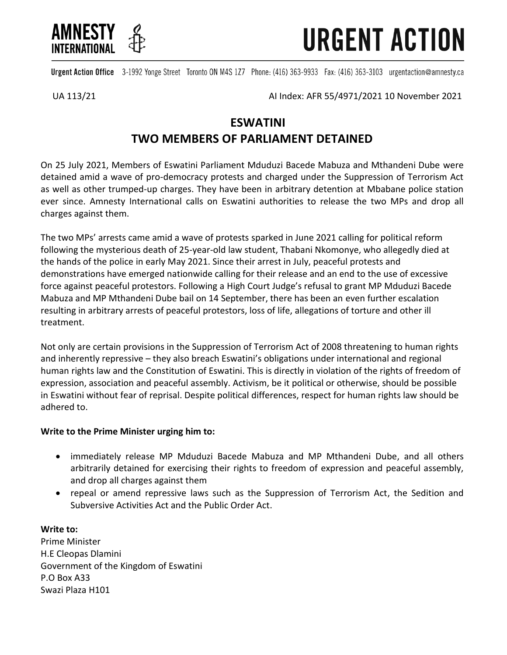

**URGENT ACTION** 

Urgent Action Office 3-1992 Yonge Street Toronto ON M4S 1Z7 Phone: (416) 363-9933 Fax: (416) 363-3103 urgentaction@amnesty.ca

UA 113/21 AI Index: AFR 55/4971/2021 10 November 2021

## **ESWATINI TWO MEMBERS OF PARLIAMENT DETAINED**

On 25 July 2021, Members of Eswatini Parliament Mduduzi Bacede Mabuza and Mthandeni Dube were detained amid a wave of pro-democracy protests and charged under the Suppression of Terrorism Act as well as other trumped-up charges. They have been in arbitrary detention at Mbabane police station ever since. Amnesty International calls on Eswatini authorities to release the two MPs and drop all charges against them.

The two MPs' arrests came amid a wave of protests sparked in June 2021 calling for political reform following the mysterious death of 25-year-old law student, Thabani Nkomonye, who allegedly died at the hands of the police in early May 2021. Since their arrest in July, peaceful protests and demonstrations have emerged nationwide calling for their release and an end to the use of excessive force against peaceful protestors. Following a High Court Judge's refusal to grant MP Mduduzi Bacede Mabuza and MP Mthandeni Dube bail on 14 September, there has been an even further escalation resulting in arbitrary arrests of peaceful protestors, loss of life, allegations of torture and other ill treatment.

Not only are certain provisions in the Suppression of Terrorism Act of 2008 threatening to human rights and inherently repressive – they also breach Eswatini's obligations under international and regional human rights law and the Constitution of Eswatini. This is directly in violation of the rights of freedom of expression, association and peaceful assembly. Activism, be it political or otherwise, should be possible in Eswatini without fear of reprisal. Despite political differences, respect for human rights law should be adhered to.

## **Write to the Prime Minister urging him to:**

- immediately release MP Mduduzi Bacede Mabuza and MP Mthandeni Dube, and all others arbitrarily detained for exercising their rights to freedom of expression and peaceful assembly, and drop all charges against them
- repeal or amend repressive laws such as the Suppression of Terrorism Act, the Sedition and Subversive Activities Act and the Public Order Act.

**Write to:** Prime Minister H.E Cleopas Dlamini Government of the Kingdom of Eswatini P.O Box A33 Swazi Plaza H101